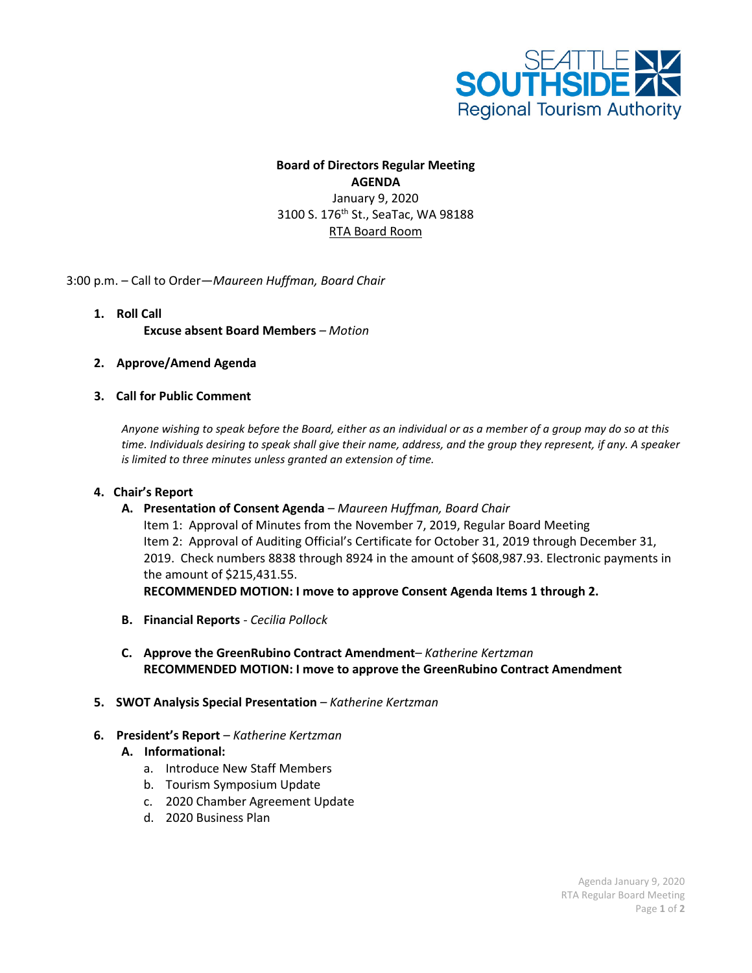

# **Board of Directors Regular Meeting AGENDA** January 9, 2020 3100 S. 176<sup>th</sup> St., SeaTac, WA 98188 RTA Board Room

### 3:00 p.m. – Call to Order—*Maureen Huffman, Board Chair*

## **1. Roll Call Excuse absent Board Members** *– Motion*

### **2. Approve/Amend Agenda**

### **3. Call for Public Comment**

*Anyone wishing to speak before the Board, either as an individual or as a member of a group may do so at this time. Individuals desiring to speak shall give their name, address, and the group they represent, if any. A speaker is limited to three minutes unless granted an extension of time.*

#### **4. Chair's Report**

**A. Presentation of Consent Agenda** *– Maureen Huffman, Board Chair*

Item 1: Approval of Minutes from the November 7, 2019, Regular Board Meeting Item 2: Approval of Auditing Official's Certificate for October 31, 2019 through December 31, 2019. Check numbers 8838 through 8924 in the amount of \$608,987.93. Electronic payments in the amount of \$215,431.55.

**RECOMMENDED MOTION: I move to approve Consent Agenda Items 1 through 2.**

- **B. Financial Reports** *- Cecilia Pollock*
- **C. Approve the GreenRubino Contract Amendment***– Katherine Kertzman* **RECOMMENDED MOTION: I move to approve the GreenRubino Contract Amendment**
- **5. SWOT Analysis Special Presentation** *– Katherine Kertzman*
- **6. President's Report** *– Katherine Kertzman*
	- **A. Informational:**
		- a. Introduce New Staff Members
		- b. Tourism Symposium Update
		- c. 2020 Chamber Agreement Update
		- d. 2020 Business Plan

Agenda January 9, 2020 RTA Regular Board Meeting Page **1** of **2**